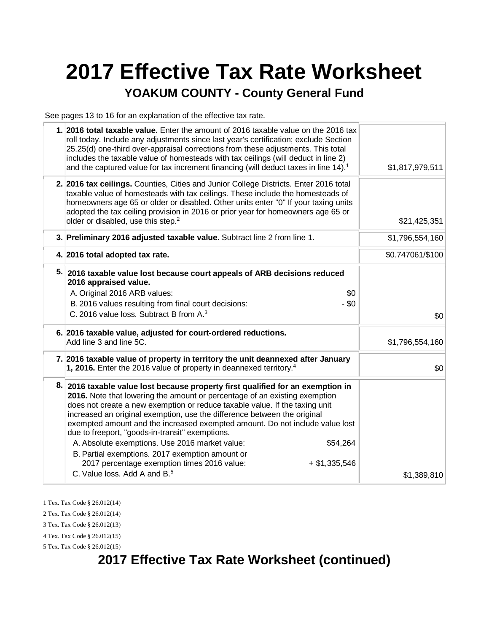# **2017 Effective Tax Rate Worksheet**

#### **YOAKUM COUNTY - County General Fund**

See pages 13 to 16 for an explanation of the effective tax rate.

| 1. 2016 total taxable value. Enter the amount of 2016 taxable value on the 2016 tax<br>roll today. Include any adjustments since last year's certification; exclude Section<br>25.25(d) one-third over-appraisal corrections from these adjustments. This total<br>includes the taxable value of homesteads with tax ceilings (will deduct in line 2)<br>and the captured value for tax increment financing (will deduct taxes in line 14). <sup>1</sup><br>\$1,817,979,511<br>2. 2016 tax ceilings. Counties, Cities and Junior College Districts. Enter 2016 total<br>taxable value of homesteads with tax ceilings. These include the homesteads of<br>homeowners age 65 or older or disabled. Other units enter "0" If your taxing units<br>adopted the tax ceiling provision in 2016 or prior year for homeowners age 65 or<br>older or disabled, use this step. <sup>2</sup><br>\$21,425,351<br>3. Preliminary 2016 adjusted taxable value. Subtract line 2 from line 1.<br>\$1,796,554,160<br>4. 2016 total adopted tax rate.<br>\$0.747061/\$100<br>5. 2016 taxable value lost because court appeals of ARB decisions reduced<br>2016 appraised value.<br>\$0<br>A. Original 2016 ARB values:<br>$-$ \$0<br>B. 2016 values resulting from final court decisions:<br>C. 2016 value loss. Subtract B from A. <sup>3</sup><br>\$0<br>6. 2016 taxable value, adjusted for court-ordered reductions.<br>Add line 3 and line 5C.<br>\$1,796,554,160<br>7. 2016 taxable value of property in territory the unit deannexed after January<br>1, 2016. Enter the 2016 value of property in deannexed territory. <sup>4</sup><br>\$0<br>8. 2016 taxable value lost because property first qualified for an exemption in<br>2016. Note that lowering the amount or percentage of an existing exemption<br>does not create a new exemption or reduce taxable value. If the taxing unit<br>increased an original exemption, use the difference between the original<br>exempted amount and the increased exempted amount. Do not include value lost<br>due to freeport, "goods-in-transit" exemptions.<br>A. Absolute exemptions. Use 2016 market value:<br>\$54,264<br>B. Partial exemptions. 2017 exemption amount or<br>2017 percentage exemption times 2016 value:<br>$+$ \$1,335,546<br>C. Value loss, Add A and B. <sup>5</sup><br>\$1,389,810 |  |  |
|------------------------------------------------------------------------------------------------------------------------------------------------------------------------------------------------------------------------------------------------------------------------------------------------------------------------------------------------------------------------------------------------------------------------------------------------------------------------------------------------------------------------------------------------------------------------------------------------------------------------------------------------------------------------------------------------------------------------------------------------------------------------------------------------------------------------------------------------------------------------------------------------------------------------------------------------------------------------------------------------------------------------------------------------------------------------------------------------------------------------------------------------------------------------------------------------------------------------------------------------------------------------------------------------------------------------------------------------------------------------------------------------------------------------------------------------------------------------------------------------------------------------------------------------------------------------------------------------------------------------------------------------------------------------------------------------------------------------------------------------------------------------------------------------------------------------------------------------------------------------------------------------------------------------------------------------------------------------------------------------------------------------------------------------------------------------------------------------------------------------------------------------------------------------------------------------------------------------------------------------------------------------------------------------------------------------------------------------|--|--|
|                                                                                                                                                                                                                                                                                                                                                                                                                                                                                                                                                                                                                                                                                                                                                                                                                                                                                                                                                                                                                                                                                                                                                                                                                                                                                                                                                                                                                                                                                                                                                                                                                                                                                                                                                                                                                                                                                                                                                                                                                                                                                                                                                                                                                                                                                                                                                |  |  |
|                                                                                                                                                                                                                                                                                                                                                                                                                                                                                                                                                                                                                                                                                                                                                                                                                                                                                                                                                                                                                                                                                                                                                                                                                                                                                                                                                                                                                                                                                                                                                                                                                                                                                                                                                                                                                                                                                                                                                                                                                                                                                                                                                                                                                                                                                                                                                |  |  |
|                                                                                                                                                                                                                                                                                                                                                                                                                                                                                                                                                                                                                                                                                                                                                                                                                                                                                                                                                                                                                                                                                                                                                                                                                                                                                                                                                                                                                                                                                                                                                                                                                                                                                                                                                                                                                                                                                                                                                                                                                                                                                                                                                                                                                                                                                                                                                |  |  |
|                                                                                                                                                                                                                                                                                                                                                                                                                                                                                                                                                                                                                                                                                                                                                                                                                                                                                                                                                                                                                                                                                                                                                                                                                                                                                                                                                                                                                                                                                                                                                                                                                                                                                                                                                                                                                                                                                                                                                                                                                                                                                                                                                                                                                                                                                                                                                |  |  |
|                                                                                                                                                                                                                                                                                                                                                                                                                                                                                                                                                                                                                                                                                                                                                                                                                                                                                                                                                                                                                                                                                                                                                                                                                                                                                                                                                                                                                                                                                                                                                                                                                                                                                                                                                                                                                                                                                                                                                                                                                                                                                                                                                                                                                                                                                                                                                |  |  |
|                                                                                                                                                                                                                                                                                                                                                                                                                                                                                                                                                                                                                                                                                                                                                                                                                                                                                                                                                                                                                                                                                                                                                                                                                                                                                                                                                                                                                                                                                                                                                                                                                                                                                                                                                                                                                                                                                                                                                                                                                                                                                                                                                                                                                                                                                                                                                |  |  |
|                                                                                                                                                                                                                                                                                                                                                                                                                                                                                                                                                                                                                                                                                                                                                                                                                                                                                                                                                                                                                                                                                                                                                                                                                                                                                                                                                                                                                                                                                                                                                                                                                                                                                                                                                                                                                                                                                                                                                                                                                                                                                                                                                                                                                                                                                                                                                |  |  |
|                                                                                                                                                                                                                                                                                                                                                                                                                                                                                                                                                                                                                                                                                                                                                                                                                                                                                                                                                                                                                                                                                                                                                                                                                                                                                                                                                                                                                                                                                                                                                                                                                                                                                                                                                                                                                                                                                                                                                                                                                                                                                                                                                                                                                                                                                                                                                |  |  |
|                                                                                                                                                                                                                                                                                                                                                                                                                                                                                                                                                                                                                                                                                                                                                                                                                                                                                                                                                                                                                                                                                                                                                                                                                                                                                                                                                                                                                                                                                                                                                                                                                                                                                                                                                                                                                                                                                                                                                                                                                                                                                                                                                                                                                                                                                                                                                |  |  |

1 Tex. Tax Code § 26.012(14)

2 Tex. Tax Code § 26.012(14)

3 Tex. Tax Code § 26.012(13)

4 Tex. Tax Code § 26.012(15) 5 Tex. Tax Code § 26.012(15)

## **2017 Effective Tax Rate Worksheet (continued)**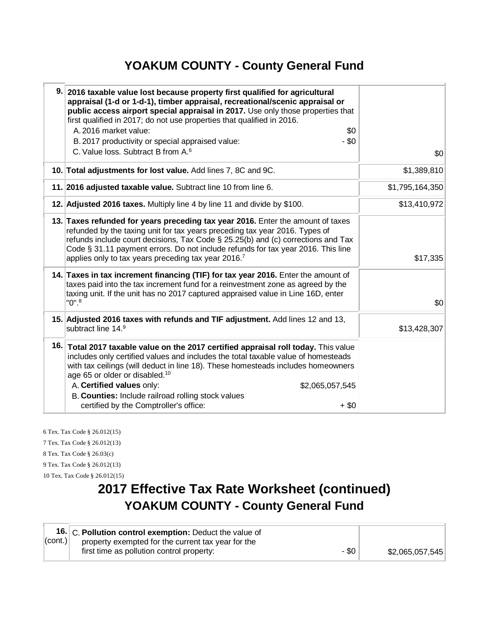#### **YOAKUM COUNTY - County General Fund**

| 9. 2016 taxable value lost because property first qualified for agricultural<br>appraisal (1-d or 1-d-1), timber appraisal, recreational/scenic appraisal or<br>public access airport special appraisal in 2017. Use only those properties that<br>first qualified in 2017; do not use properties that qualified in 2016.<br>A. 2016 market value:<br>\$0<br>$-$ \$0<br>B. 2017 productivity or special appraised value:<br>C. Value loss. Subtract B from A. <sup>6</sup> | \$0             |
|----------------------------------------------------------------------------------------------------------------------------------------------------------------------------------------------------------------------------------------------------------------------------------------------------------------------------------------------------------------------------------------------------------------------------------------------------------------------------|-----------------|
| 10. Total adjustments for lost value. Add lines 7, 8C and 9C.                                                                                                                                                                                                                                                                                                                                                                                                              | \$1,389,810     |
| 11. 2016 adjusted taxable value. Subtract line 10 from line 6.                                                                                                                                                                                                                                                                                                                                                                                                             | \$1,795,164,350 |
| 12. Adjusted 2016 taxes. Multiply line 4 by line 11 and divide by \$100.                                                                                                                                                                                                                                                                                                                                                                                                   | \$13,410,972    |
| 13. Taxes refunded for years preceding tax year 2016. Enter the amount of taxes<br>refunded by the taxing unit for tax years preceding tax year 2016. Types of<br>refunds include court decisions, Tax Code $\S$ 25.25(b) and (c) corrections and Tax<br>Code § 31.11 payment errors. Do not include refunds for tax year 2016. This line<br>applies only to tax years preceding tax year 2016. <sup>7</sup>                                                               | \$17,335        |
| 14. Taxes in tax increment financing (TIF) for tax year 2016. Enter the amount of<br>taxes paid into the tax increment fund for a reinvestment zone as agreed by the<br>taxing unit. If the unit has no 2017 captured appraised value in Line 16D, enter<br>$"0"$ . $^8$                                                                                                                                                                                                   | \$0             |
| 15. Adjusted 2016 taxes with refunds and TIF adjustment. Add lines 12 and 13,<br>subtract line 14.9                                                                                                                                                                                                                                                                                                                                                                        | \$13,428,307    |
| 16. Total 2017 taxable value on the 2017 certified appraisal roll today. This value<br>includes only certified values and includes the total taxable value of homesteads<br>with tax ceilings (will deduct in line 18). These homesteads includes homeowners<br>age 65 or older or disabled. <sup>10</sup><br>A. Certified values only:<br>\$2,065,057,545<br>B. Counties: Include railroad rolling stock values<br>certified by the Comptroller's office:<br>$+$ \$0      |                 |

6 Tex. Tax Code § 26.012(15) 7 Tex. Tax Code § 26.012(13) 8 Tex. Tax Code § 26.03(c) 9 Tex. Tax Code § 26.012(13) 10 Tex. Tax Code § 26.012(15)

## **2017 Effective Tax Rate Worksheet (continued) YOAKUM COUNTY - County General Fund**

|         | 16. C. Pollution control exemption: Deduct the value of |       |                 |
|---------|---------------------------------------------------------|-------|-----------------|
| (cont.) | property exempted for the current tax year for the      |       |                 |
|         | first time as pollution control property:               | - \$0 | \$2,065,057,545 |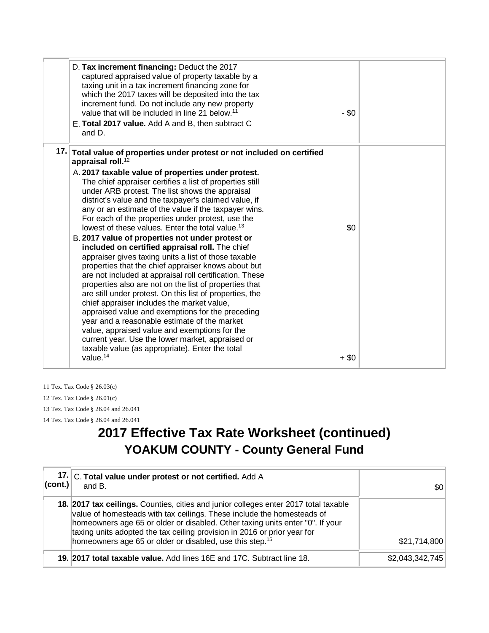| D. Tax increment financing: Deduct the 2017<br>captured appraised value of property taxable by a<br>taxing unit in a tax increment financing zone for<br>which the 2017 taxes will be deposited into the tax<br>increment fund. Do not include any new property<br>value that will be included in line 21 below. <sup>11</sup><br>E. Total 2017 value. Add A and B, then subtract C<br>and D.                                                                                                                                                                                                                                                                                                                                                                                                                                                                                                                                                                                                                                                                                                                                   | - \$0   |  |
|---------------------------------------------------------------------------------------------------------------------------------------------------------------------------------------------------------------------------------------------------------------------------------------------------------------------------------------------------------------------------------------------------------------------------------------------------------------------------------------------------------------------------------------------------------------------------------------------------------------------------------------------------------------------------------------------------------------------------------------------------------------------------------------------------------------------------------------------------------------------------------------------------------------------------------------------------------------------------------------------------------------------------------------------------------------------------------------------------------------------------------|---------|--|
| 17. Total value of properties under protest or not included on certified<br>appraisal roll. <sup>12</sup><br>A. 2017 taxable value of properties under protest.<br>The chief appraiser certifies a list of properties still<br>under ARB protest. The list shows the appraisal<br>district's value and the taxpayer's claimed value, if<br>any or an estimate of the value if the taxpayer wins.<br>For each of the properties under protest, use the<br>lowest of these values. Enter the total value. <sup>13</sup><br>B. 2017 value of properties not under protest or<br>included on certified appraisal roll. The chief<br>appraiser gives taxing units a list of those taxable<br>properties that the chief appraiser knows about but<br>are not included at appraisal roll certification. These<br>properties also are not on the list of properties that<br>are still under protest. On this list of properties, the<br>chief appraiser includes the market value,<br>appraised value and exemptions for the preceding<br>year and a reasonable estimate of the market<br>value, appraised value and exemptions for the | \$0     |  |
| current year. Use the lower market, appraised or<br>taxable value (as appropriate). Enter the total<br>value. $14$                                                                                                                                                                                                                                                                                                                                                                                                                                                                                                                                                                                                                                                                                                                                                                                                                                                                                                                                                                                                              | $+$ \$0 |  |

11 Tex. Tax Code § 26.03(c) 12 Tex. Tax Code § 26.01(c) 13 Tex. Tax Code § 26.04 and 26.041 14 Tex. Tax Code § 26.04 and 26.041

### **2017 Effective Tax Rate Worksheet (continued) YOAKUM COUNTY - County General Fund**

| $ $ (cont.)                                                                                                                                                                                                                                                                                                                                                                                         | 17. C. Total value under protest or not certified. Add A<br>and B.     | \$0             |
|-----------------------------------------------------------------------------------------------------------------------------------------------------------------------------------------------------------------------------------------------------------------------------------------------------------------------------------------------------------------------------------------------------|------------------------------------------------------------------------|-----------------|
| 18. 2017 tax ceilings. Counties, cities and junior colleges enter 2017 total taxable<br>value of homesteads with tax ceilings. These include the homesteads of<br>homeowners age 65 or older or disabled. Other taxing units enter "0". If your<br>taxing units adopted the tax ceiling provision in 2016 or prior year for<br>homeowners age 65 or older or disabled, use this step. <sup>15</sup> |                                                                        | \$21,714,800    |
|                                                                                                                                                                                                                                                                                                                                                                                                     | 19. 2017 total taxable value. Add lines 16E and 17C. Subtract line 18. | \$2,043,342,745 |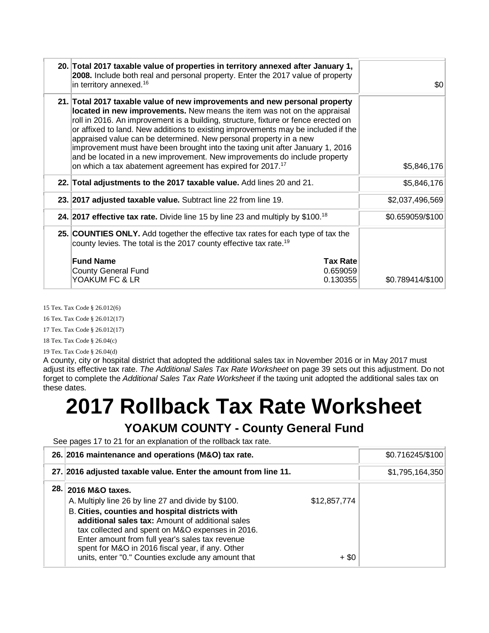| 20. Total 2017 taxable value of properties in territory annexed after January 1,<br>2008. Include both real and personal property. Enter the 2017 value of property<br>in territory annexed. <sup>16</sup>                                                                                                                                                                                                                                                                                                                                                                                                                                     | 30               |
|------------------------------------------------------------------------------------------------------------------------------------------------------------------------------------------------------------------------------------------------------------------------------------------------------------------------------------------------------------------------------------------------------------------------------------------------------------------------------------------------------------------------------------------------------------------------------------------------------------------------------------------------|------------------|
| 21. Total 2017 taxable value of new improvements and new personal property<br>located in new improvements. New means the item was not on the appraisal<br>roll in 2016. An improvement is a building, structure, fixture or fence erected on<br>or affixed to land. New additions to existing improvements may be included if the<br>appraised value can be determined. New personal property in a new<br>improvement must have been brought into the taxing unit after January 1, 2016<br>and be located in a new improvement. New improvements do include property<br>on which a tax abatement agreement has expired for 2017. <sup>17</sup> | \$5,846,176      |
| 22. Total adjustments to the 2017 taxable value. Add lines 20 and 21.                                                                                                                                                                                                                                                                                                                                                                                                                                                                                                                                                                          | \$5,846,176      |
| 23. 2017 adjusted taxable value. Subtract line 22 from line 19.                                                                                                                                                                                                                                                                                                                                                                                                                                                                                                                                                                                | \$2,037,496,569  |
| 24. 2017 effective tax rate. Divide line 15 by line 23 and multiply by \$100. <sup>18</sup>                                                                                                                                                                                                                                                                                                                                                                                                                                                                                                                                                    | \$0.659059/\$100 |
| 25. COUNTIES ONLY. Add together the effective tax rates for each type of tax the<br>county levies. The total is the 2017 county effective tax rate. <sup>19</sup>                                                                                                                                                                                                                                                                                                                                                                                                                                                                              |                  |
| <b>Fund Name</b><br><b>Tax Rate</b><br><b>County General Fund</b><br>0.659059<br>YOAKUM FC & LR<br>0.130355                                                                                                                                                                                                                                                                                                                                                                                                                                                                                                                                    | \$0.789414/\$100 |

15 Tex. Tax Code § 26.012(6)

16 Tex. Tax Code § 26.012(17)

17 Tex. Tax Code § 26.012(17)

18 Tex. Tax Code § 26.04(c)

19 Tex. Tax Code § 26.04(d) A county, city or hospital district that adopted the additional sales tax in November 2016 or in May 2017 must adjust its effective tax rate. *The Additional Sales Tax Rate Worksheet* on page 39 sets out this adjustment. Do not forget to complete the *Additional Sales Tax Rate Worksheet* if the taxing unit adopted the additional sales tax on these dates.

# **2017 Rollback Tax Rate Worksheet**

#### **YOAKUM COUNTY - County General Fund**

See pages 17 to 21 for an explanation of the rollback tax rate.

| 26. 2016 maintenance and operations (M&O) tax rate.                                                                                                                                                                                                                                                                                                                                                                       | \$0.716245/\$100 |
|---------------------------------------------------------------------------------------------------------------------------------------------------------------------------------------------------------------------------------------------------------------------------------------------------------------------------------------------------------------------------------------------------------------------------|------------------|
| 27. 2016 adjusted taxable value. Enter the amount from line 11.                                                                                                                                                                                                                                                                                                                                                           | \$1,795,164,350  |
| 28. 2016 M&O taxes.<br>A. Multiply line 26 by line 27 and divide by \$100.<br>\$12,857,774<br><b>B. Cities, counties and hospital districts with</b><br>additional sales tax: Amount of additional sales<br>tax collected and spent on M&O expenses in 2016.<br>Enter amount from full year's sales tax revenue<br>spent for M&O in 2016 fiscal year, if any. Other<br>units, enter "0." Counties exclude any amount that | $+$ \$0          |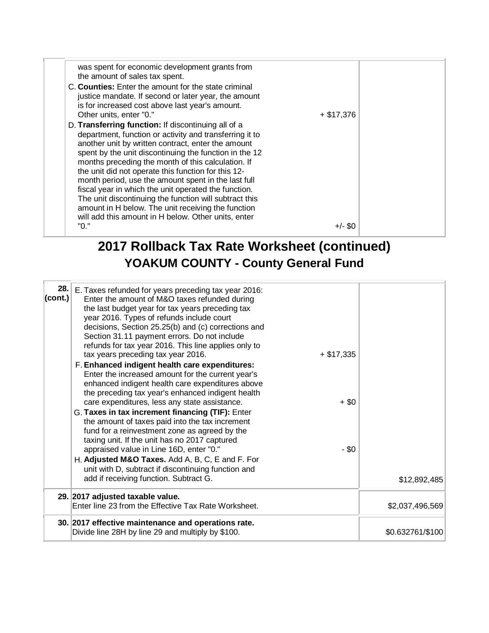| was spent for economic development grants from<br>the amount of sales tax spent.                                                                                                                                                                                                                                                                                                                                                                                                                                                                                                                                                  |              |  |
|-----------------------------------------------------------------------------------------------------------------------------------------------------------------------------------------------------------------------------------------------------------------------------------------------------------------------------------------------------------------------------------------------------------------------------------------------------------------------------------------------------------------------------------------------------------------------------------------------------------------------------------|--------------|--|
| C. Counties: Enter the amount for the state criminal<br>justice mandate. If second or later year, the amount<br>is for increased cost above last year's amount.<br>Other units, enter "0."                                                                                                                                                                                                                                                                                                                                                                                                                                        | $+$ \$17,376 |  |
| D. Transferring function: If discontinuing all of a<br>department, function or activity and transferring it to<br>another unit by written contract, enter the amount<br>spent by the unit discontinuing the function in the 12<br>months preceding the month of this calculation. If<br>the unit did not operate this function for this 12-<br>month period, use the amount spent in the last full<br>fiscal year in which the unit operated the function.<br>The unit discontinuing the function will subtract this<br>amount in H below. The unit receiving the function<br>will add this amount in H below. Other units, enter |              |  |
| "0."                                                                                                                                                                                                                                                                                                                                                                                                                                                                                                                                                                                                                              | $+/-$ \$0    |  |

## **2017 Rollback Tax Rate Worksheet (continued) YOAKUM COUNTY - County General Fund**

| $ _{\text{(cont.)}} $ | 28. E. Taxes refunded for years preceding tax year 2016:<br>Enter the amount of M&O taxes refunded during<br>the last budget year for tax years preceding tax<br>year 2016. Types of refunds include court<br>decisions, Section 25.25(b) and (c) corrections and<br>Section 31.11 payment errors. Do not include<br>refunds for tax year 2016. This line applies only to<br>tax years preceding tax year 2016.<br>$+$ \$17,335<br>F. Enhanced indigent health care expenditures:<br>Enter the increased amount for the current year's<br>enhanced indigent health care expenditures above<br>the preceding tax year's enhanced indigent health<br>care expenditures, less any state assistance.<br>$+$ \$0<br>G. Taxes in tax increment financing (TIF): Enter<br>the amount of taxes paid into the tax increment<br>fund for a reinvestment zone as agreed by the<br>taxing unit. If the unit has no 2017 captured<br>- \$0<br>appraised value in Line 16D, enter "0."<br>H. Adjusted M&O Taxes. Add A, B, C, E and F. For<br>unit with D, subtract if discontinuing function and<br>add if receiving function. Subtract G. | \$12,892,485     |
|-----------------------|-------------------------------------------------------------------------------------------------------------------------------------------------------------------------------------------------------------------------------------------------------------------------------------------------------------------------------------------------------------------------------------------------------------------------------------------------------------------------------------------------------------------------------------------------------------------------------------------------------------------------------------------------------------------------------------------------------------------------------------------------------------------------------------------------------------------------------------------------------------------------------------------------------------------------------------------------------------------------------------------------------------------------------------------------------------------------------------------------------------------------------|------------------|
|                       | 29. 2017 adjusted taxable value.<br>Enter line 23 from the Effective Tax Rate Worksheet.                                                                                                                                                                                                                                                                                                                                                                                                                                                                                                                                                                                                                                                                                                                                                                                                                                                                                                                                                                                                                                      | \$2,037,496,569  |
|                       | 30. 2017 effective maintenance and operations rate.<br>Divide line 28H by line 29 and multiply by \$100.                                                                                                                                                                                                                                                                                                                                                                                                                                                                                                                                                                                                                                                                                                                                                                                                                                                                                                                                                                                                                      | \$0.632761/\$100 |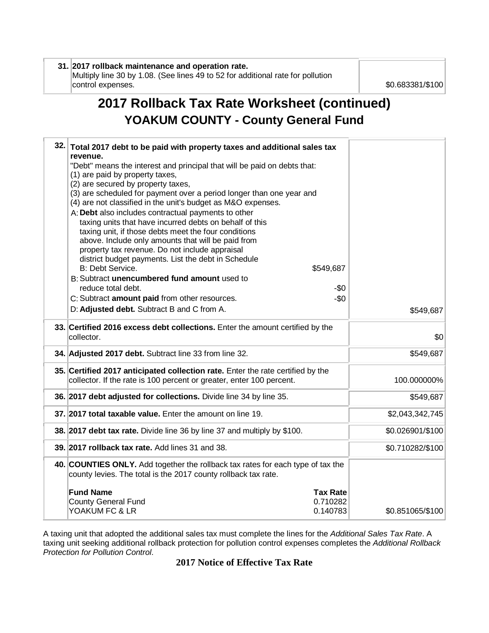#### **31. 2017 rollback maintenance and operation rate.** Multiply line 30 by 1.08. (See lines 49 to 52 for additional rate for pollution

control expenses.  $$0.683381/\$100$ 

## **2017 Rollback Tax Rate Worksheet (continued) YOAKUM COUNTY - County General Fund**

| 32. | Total 2017 debt to be paid with property taxes and additional sales tax                                                                                 |                 |                  |
|-----|---------------------------------------------------------------------------------------------------------------------------------------------------------|-----------------|------------------|
|     | revenue.<br>"Debt" means the interest and principal that will be paid on debts that:                                                                    |                 |                  |
|     | (1) are paid by property taxes,<br>(2) are secured by property taxes,                                                                                   |                 |                  |
|     | (3) are scheduled for payment over a period longer than one year and                                                                                    |                 |                  |
|     | (4) are not classified in the unit's budget as M&O expenses.                                                                                            |                 |                  |
|     | A: Debt also includes contractual payments to other<br>taxing units that have incurred debts on behalf of this                                          |                 |                  |
|     | taxing unit, if those debts meet the four conditions                                                                                                    |                 |                  |
|     | above. Include only amounts that will be paid from                                                                                                      |                 |                  |
|     | property tax revenue. Do not include appraisal<br>district budget payments. List the debt in Schedule                                                   |                 |                  |
|     | B: Debt Service.                                                                                                                                        | \$549,687       |                  |
|     | B: Subtract unencumbered fund amount used to                                                                                                            |                 |                  |
|     | reduce total debt.<br>C: Subtract amount paid from other resources.                                                                                     | -\$0<br>$-50$   |                  |
|     | D: Adjusted debt. Subtract B and C from A.                                                                                                              |                 | \$549,687        |
|     |                                                                                                                                                         |                 |                  |
|     | 33. Certified 2016 excess debt collections. Enter the amount certified by the<br>collector.                                                             |                 | \$0              |
|     | 34. Adjusted 2017 debt. Subtract line 33 from line 32.                                                                                                  |                 | \$549,687        |
|     | 35. Certified 2017 anticipated collection rate. Enter the rate certified by the<br>collector. If the rate is 100 percent or greater, enter 100 percent. |                 | 100.000000%      |
|     | 36. 2017 debt adjusted for collections. Divide line 34 by line 35.                                                                                      |                 | \$549,687        |
|     | 37. 2017 total taxable value. Enter the amount on line 19.                                                                                              |                 | \$2,043,342,745  |
|     | 38. 2017 debt tax rate. Divide line 36 by line 37 and multiply by \$100.                                                                                |                 | \$0.026901/\$100 |
|     | 39. 2017 rollback tax rate. Add lines 31 and 38.                                                                                                        |                 | \$0.710282/\$100 |
|     | 40. COUNTIES ONLY. Add together the rollback tax rates for each type of tax the<br>county levies. The total is the 2017 county rollback tax rate.       |                 |                  |
|     | <b>Fund Name</b>                                                                                                                                        | <b>Tax Rate</b> |                  |
|     | <b>County General Fund</b>                                                                                                                              | 0.710282        |                  |
|     | YOAKUM FC & LR                                                                                                                                          | 0.140783        | \$0.851065/\$100 |

A taxing unit that adopted the additional sales tax must complete the lines for the *Additional Sales Tax Rate*. A taxing unit seeking additional rollback protection for pollution control expenses completes the *Additional Rollback Protection for Pollution Control*.

#### **2017 Notice of Effective Tax Rate**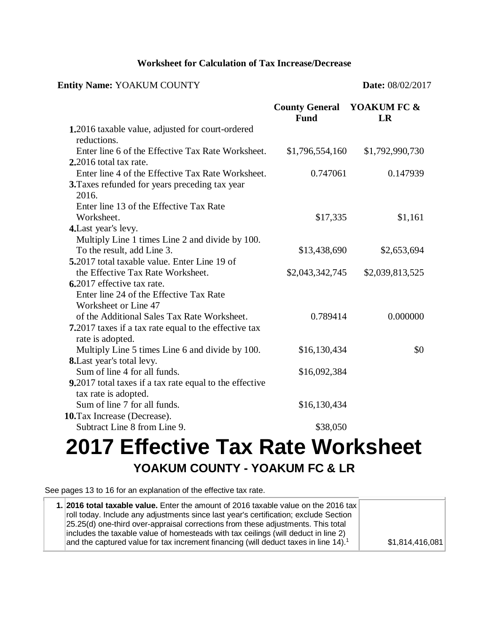#### **Worksheet for Calculation of Tax Increase/Decrease**

#### **Entity Name:** YOAKUM COUNTY **Date:** 08/02/2017

|                                                                                         | <b>County General YOAKUM FC &amp;</b><br><b>Fund</b> | LR              |
|-----------------------------------------------------------------------------------------|------------------------------------------------------|-----------------|
| 1.2016 taxable value, adjusted for court-ordered<br>reductions.                         |                                                      |                 |
| Enter line 6 of the Effective Tax Rate Worksheet.                                       | \$1,796,554,160                                      | \$1,792,990,730 |
| 2.2016 total tax rate.                                                                  |                                                      |                 |
| Enter line 4 of the Effective Tax Rate Worksheet.                                       | 0.747061                                             | 0.147939        |
| 3. Taxes refunded for years preceding tax year                                          |                                                      |                 |
| 2016.                                                                                   |                                                      |                 |
| Enter line 13 of the Effective Tax Rate                                                 |                                                      |                 |
| Worksheet.                                                                              | \$17,335                                             | \$1,161         |
| 4. Last year's levy.                                                                    |                                                      |                 |
| Multiply Line 1 times Line 2 and divide by 100.                                         |                                                      |                 |
| To the result, add Line 3.                                                              | \$13,438,690                                         | \$2,653,694     |
| 5.2017 total taxable value. Enter Line 19 of                                            |                                                      |                 |
| the Effective Tax Rate Worksheet.                                                       | \$2,043,342,745                                      | \$2,039,813,525 |
| 6.2017 effective tax rate.                                                              |                                                      |                 |
| Enter line 24 of the Effective Tax Rate                                                 |                                                      |                 |
| Worksheet or Line 47                                                                    |                                                      |                 |
| of the Additional Sales Tax Rate Worksheet.                                             | 0.789414                                             | 0.000000        |
| <b>7.</b> 2017 taxes if a tax rate equal to the effective tax<br>rate is adopted.       |                                                      |                 |
| Multiply Line 5 times Line 6 and divide by 100.                                         | \$16,130,434                                         | \$0             |
| 8. Last year's total levy.                                                              |                                                      |                 |
| Sum of line 4 for all funds.                                                            | \$16,092,384                                         |                 |
| <b>9.</b> 2017 total taxes if a tax rate equal to the effective<br>tax rate is adopted. |                                                      |                 |
| Sum of line 7 for all funds.                                                            | \$16,130,434                                         |                 |
| 10. Tax Increase (Decrease).                                                            |                                                      |                 |
| Subtract Line 8 from Line 9.                                                            | \$38,050                                             |                 |

## **2017 Effective Tax Rate Worksheet YOAKUM COUNTY - YOAKUM FC & LR**

See pages 13 to 16 for an explanation of the effective tax rate.

| 1. 2016 total taxable value. Enter the amount of 2016 taxable value on the 2016 tax                |                 |
|----------------------------------------------------------------------------------------------------|-----------------|
| roll today. Include any adjustments since last year's certification; exclude Section               |                 |
| [25.25(d) one-third over-appraisal corrections from these adjustments. This total                  |                 |
| includes the taxable value of homesteads with tax ceilings (will deduct in line 2)                 |                 |
| and the captured value for tax increment financing (will deduct taxes in line $14$ ). <sup>1</sup> | \$1,814,416,081 |
|                                                                                                    |                 |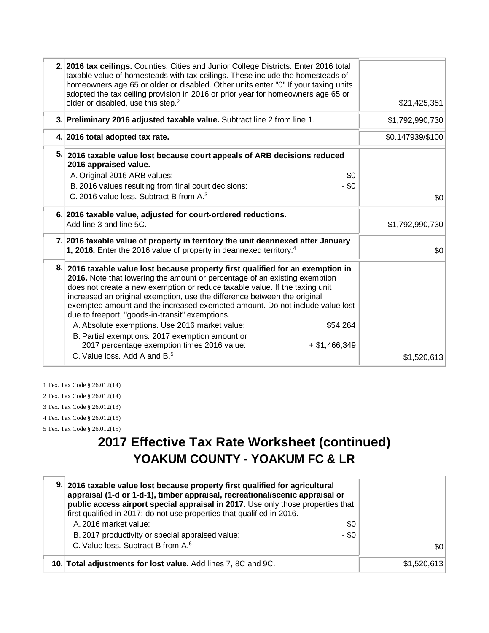| older or disabled, use this step. <sup>2</sup>  |                                                                                                                                                                                                           | \$21,425,351                                                                                                                                                                                                                                                                                                                                                                                                                                                                                                                                                                                                                                                                                                                                                                                                                                                                                                                                                                                                                                                                                                                                                            |
|-------------------------------------------------|-----------------------------------------------------------------------------------------------------------------------------------------------------------------------------------------------------------|-------------------------------------------------------------------------------------------------------------------------------------------------------------------------------------------------------------------------------------------------------------------------------------------------------------------------------------------------------------------------------------------------------------------------------------------------------------------------------------------------------------------------------------------------------------------------------------------------------------------------------------------------------------------------------------------------------------------------------------------------------------------------------------------------------------------------------------------------------------------------------------------------------------------------------------------------------------------------------------------------------------------------------------------------------------------------------------------------------------------------------------------------------------------------|
|                                                 |                                                                                                                                                                                                           | \$1,792,990,730                                                                                                                                                                                                                                                                                                                                                                                                                                                                                                                                                                                                                                                                                                                                                                                                                                                                                                                                                                                                                                                                                                                                                         |
|                                                 |                                                                                                                                                                                                           | \$0.147939/\$100                                                                                                                                                                                                                                                                                                                                                                                                                                                                                                                                                                                                                                                                                                                                                                                                                                                                                                                                                                                                                                                                                                                                                        |
| 2016 appraised value.                           |                                                                                                                                                                                                           |                                                                                                                                                                                                                                                                                                                                                                                                                                                                                                                                                                                                                                                                                                                                                                                                                                                                                                                                                                                                                                                                                                                                                                         |
|                                                 | \$0                                                                                                                                                                                                       |                                                                                                                                                                                                                                                                                                                                                                                                                                                                                                                                                                                                                                                                                                                                                                                                                                                                                                                                                                                                                                                                                                                                                                         |
|                                                 |                                                                                                                                                                                                           |                                                                                                                                                                                                                                                                                                                                                                                                                                                                                                                                                                                                                                                                                                                                                                                                                                                                                                                                                                                                                                                                                                                                                                         |
|                                                 |                                                                                                                                                                                                           | \$0                                                                                                                                                                                                                                                                                                                                                                                                                                                                                                                                                                                                                                                                                                                                                                                                                                                                                                                                                                                                                                                                                                                                                                     |
|                                                 |                                                                                                                                                                                                           | \$1,792,990,730                                                                                                                                                                                                                                                                                                                                                                                                                                                                                                                                                                                                                                                                                                                                                                                                                                                                                                                                                                                                                                                                                                                                                         |
|                                                 |                                                                                                                                                                                                           |                                                                                                                                                                                                                                                                                                                                                                                                                                                                                                                                                                                                                                                                                                                                                                                                                                                                                                                                                                                                                                                                                                                                                                         |
|                                                 |                                                                                                                                                                                                           | \$0                                                                                                                                                                                                                                                                                                                                                                                                                                                                                                                                                                                                                                                                                                                                                                                                                                                                                                                                                                                                                                                                                                                                                                     |
| due to freeport, "goods-in-transit" exemptions. |                                                                                                                                                                                                           |                                                                                                                                                                                                                                                                                                                                                                                                                                                                                                                                                                                                                                                                                                                                                                                                                                                                                                                                                                                                                                                                                                                                                                         |
| A. Absolute exemptions. Use 2016 market value:  | \$54,264                                                                                                                                                                                                  |                                                                                                                                                                                                                                                                                                                                                                                                                                                                                                                                                                                                                                                                                                                                                                                                                                                                                                                                                                                                                                                                                                                                                                         |
| B. Partial exemptions. 2017 exemption amount or |                                                                                                                                                                                                           |                                                                                                                                                                                                                                                                                                                                                                                                                                                                                                                                                                                                                                                                                                                                                                                                                                                                                                                                                                                                                                                                                                                                                                         |
| 2017 percentage exemption times 2016 value:     | $+$ \$1,466,349                                                                                                                                                                                           |                                                                                                                                                                                                                                                                                                                                                                                                                                                                                                                                                                                                                                                                                                                                                                                                                                                                                                                                                                                                                                                                                                                                                                         |
| C. Value loss, Add A and B. <sup>5</sup>        |                                                                                                                                                                                                           | \$1,520,613                                                                                                                                                                                                                                                                                                                                                                                                                                                                                                                                                                                                                                                                                                                                                                                                                                                                                                                                                                                                                                                                                                                                                             |
|                                                 | 4. 2016 total adopted tax rate.<br>A. Original 2016 ARB values:<br>B. 2016 values resulting from final court decisions:<br>C. 2016 value loss. Subtract B from A. <sup>3</sup><br>Add line 3 and line 5C. | 2. 2016 tax ceilings. Counties, Cities and Junior College Districts. Enter 2016 total<br>taxable value of homesteads with tax ceilings. These include the homesteads of<br>homeowners age 65 or older or disabled. Other units enter "0" If your taxing units<br>adopted the tax ceiling provision in 2016 or prior year for homeowners age 65 or<br>3. Preliminary 2016 adjusted taxable value. Subtract line 2 from line 1.<br>5. 2016 taxable value lost because court appeals of ARB decisions reduced<br>$-$ \$0<br>6. 2016 taxable value, adjusted for court-ordered reductions.<br>7. 2016 taxable value of property in territory the unit deannexed after January<br>1, 2016. Enter the 2016 value of property in deannexed territory. <sup>4</sup><br>8. 2016 taxable value lost because property first qualified for an exemption in<br>2016. Note that lowering the amount or percentage of an existing exemption<br>does not create a new exemption or reduce taxable value. If the taxing unit<br>increased an original exemption, use the difference between the original<br>exempted amount and the increased exempted amount. Do not include value lost |

1 Tex. Tax Code § 26.012(14)

2 Tex. Tax Code § 26.012(14)

3 Tex. Tax Code § 26.012(13)

4 Tex. Tax Code § 26.012(15)

5 Tex. Tax Code § 26.012(15)

## **2017 Effective Tax Rate Worksheet (continued) YOAKUM COUNTY - YOAKUM FC & LR**

| 9. 2016 taxable value lost because property first qualified for agricultural<br>appraisal (1-d or 1-d-1), timber appraisal, recreational/scenic appraisal or<br>public access airport special appraisal in 2017. Use only those properties that<br>first qualified in 2017; do not use properties that qualified in 2016. |             |
|---------------------------------------------------------------------------------------------------------------------------------------------------------------------------------------------------------------------------------------------------------------------------------------------------------------------------|-------------|
| A. 2016 market value:<br>\$0                                                                                                                                                                                                                                                                                              |             |
| - \$0<br>B. 2017 productivity or special appraised value:                                                                                                                                                                                                                                                                 |             |
| C. Value loss. Subtract B from A. <sup>6</sup>                                                                                                                                                                                                                                                                            | \$0         |
| 10. Total adjustments for lost value. Add lines 7, 8C and 9C.                                                                                                                                                                                                                                                             | \$1,520,613 |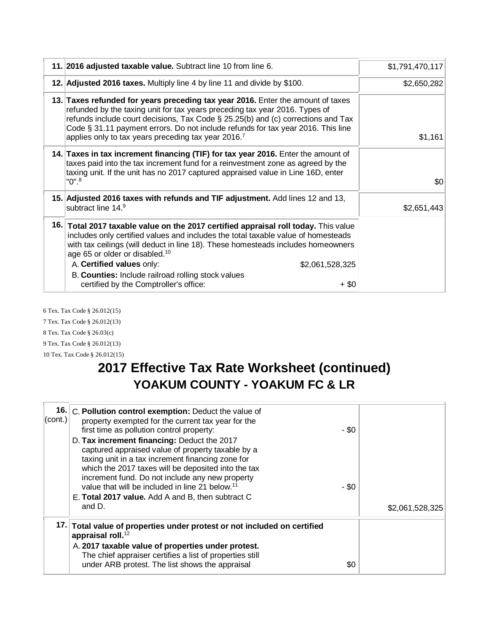| 11. 2016 adjusted taxable value. Subtract line 10 from line 6.                                                                                                                                                                                                                                                                                                                                               | \$1,791,470,117 |
|--------------------------------------------------------------------------------------------------------------------------------------------------------------------------------------------------------------------------------------------------------------------------------------------------------------------------------------------------------------------------------------------------------------|-----------------|
| 12. Adjusted 2016 taxes. Multiply line 4 by line 11 and divide by \$100.                                                                                                                                                                                                                                                                                                                                     | \$2,650,282     |
| 13. Taxes refunded for years preceding tax year 2016. Enter the amount of taxes<br>refunded by the taxing unit for tax years preceding tax year 2016. Types of<br>refunds include court decisions, Tax Code $\S$ 25.25(b) and (c) corrections and Tax<br>Code § 31.11 payment errors. Do not include refunds for tax year 2016. This line<br>applies only to tax years preceding tax year 2016. <sup>7</sup> | \$1,161         |
| 14. Taxes in tax increment financing (TIF) for tax year 2016. Enter the amount of<br>taxes paid into the tax increment fund for a reinvestment zone as agreed by the<br>taxing unit. If the unit has no 2017 captured appraised value in Line 16D, enter<br>"0". <sup>8</sup>                                                                                                                                | \$0             |
| 15. Adjusted 2016 taxes with refunds and TIF adjustment. Add lines 12 and 13,<br>subtract line 14. <sup>9</sup>                                                                                                                                                                                                                                                                                              | \$2,651,443     |
| 16. Total 2017 taxable value on the 2017 certified appraisal roll today. This value<br>includes only certified values and includes the total taxable value of homesteads<br>with tax ceilings (will deduct in line 18). These homesteads includes homeowners<br>age 65 or older or disabled. <sup>10</sup><br>A. Certified values only:<br>\$2,061,528,325                                                   |                 |
| B. Counties: Include railroad rolling stock values<br>certified by the Comptroller's office:<br>+ \$0                                                                                                                                                                                                                                                                                                        |                 |

6 Tex. Tax Code § 26.012(15) 7 Tex. Tax Code § 26.012(13) 8 Tex. Tax Code § 26.03(c) 9 Tex. Tax Code § 26.012(13) 10 Tex. Tax Code § 26.012(15)

## **2017 Effective Tax Rate Worksheet (continued) YOAKUM COUNTY - YOAKUM FC & LR**

| (cont.) | 16. C. Pollution control exemption: Deduct the value of<br>property exempted for the current tax year for the<br>first time as pollution control property:                                                                                                                                                                     | - \$0 |                 |
|---------|--------------------------------------------------------------------------------------------------------------------------------------------------------------------------------------------------------------------------------------------------------------------------------------------------------------------------------|-------|-----------------|
|         | D. Tax increment financing: Deduct the 2017<br>captured appraised value of property taxable by a<br>taxing unit in a tax increment financing zone for<br>which the 2017 taxes will be deposited into the tax<br>increment fund. Do not include any new property<br>value that will be included in line 21 below. <sup>11</sup> | - \$0 |                 |
|         | E. Total 2017 value. Add A and B, then subtract C<br>and D.                                                                                                                                                                                                                                                                    |       | \$2,061,528,325 |
|         | 17. Total value of properties under protest or not included on certified<br>appraisal roll. $12$                                                                                                                                                                                                                               |       |                 |
|         | A. 2017 taxable value of properties under protest.<br>The chief appraiser certifies a list of properties still                                                                                                                                                                                                                 |       |                 |
|         | under ARB protest. The list shows the appraisal                                                                                                                                                                                                                                                                                | \$0   |                 |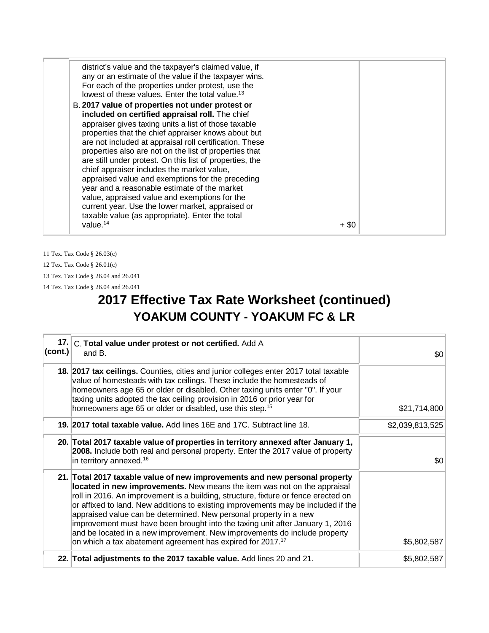| district's value and the taxpayer's claimed value, if<br>any or an estimate of the value if the taxpayer wins.<br>For each of the properties under protest, use the<br>lowest of these values. Enter the total value. <sup>13</sup> |  |
|-------------------------------------------------------------------------------------------------------------------------------------------------------------------------------------------------------------------------------------|--|
| B. 2017 value of properties not under protest or                                                                                                                                                                                    |  |
| included on certified appraisal roll. The chief                                                                                                                                                                                     |  |
| appraiser gives taxing units a list of those taxable                                                                                                                                                                                |  |
|                                                                                                                                                                                                                                     |  |
| properties that the chief appraiser knows about but                                                                                                                                                                                 |  |
| are not included at appraisal roll certification. These                                                                                                                                                                             |  |
| properties also are not on the list of properties that                                                                                                                                                                              |  |
| are still under protest. On this list of properties, the                                                                                                                                                                            |  |
| chief appraiser includes the market value,                                                                                                                                                                                          |  |
| appraised value and exemptions for the preceding                                                                                                                                                                                    |  |
| year and a reasonable estimate of the market                                                                                                                                                                                        |  |
| value, appraised value and exemptions for the                                                                                                                                                                                       |  |
| current year. Use the lower market, appraised or                                                                                                                                                                                    |  |
| taxable value (as appropriate). Enter the total                                                                                                                                                                                     |  |
|                                                                                                                                                                                                                                     |  |
| value. $14$<br>+ \$0                                                                                                                                                                                                                |  |
|                                                                                                                                                                                                                                     |  |

11 Tex. Tax Code § 26.03(c) 12 Tex. Tax Code § 26.01(c) 13 Tex. Tax Code § 26.04 and 26.041 14 Tex. Tax Code § 26.04 and 26.041

## **2017 Effective Tax Rate Worksheet (continued) YOAKUM COUNTY - YOAKUM FC & LR**

| 17.1<br>(cont.) | C. Total value under protest or not certified. Add A<br>and B.                                                                                                                                                                                                                                                                                                                                                                                                                                                                                                                                                                                 | \$0             |
|-----------------|------------------------------------------------------------------------------------------------------------------------------------------------------------------------------------------------------------------------------------------------------------------------------------------------------------------------------------------------------------------------------------------------------------------------------------------------------------------------------------------------------------------------------------------------------------------------------------------------------------------------------------------------|-----------------|
|                 | 18. 2017 tax ceilings. Counties, cities and junior colleges enter 2017 total taxable<br>value of homesteads with tax ceilings. These include the homesteads of<br>homeowners age 65 or older or disabled. Other taxing units enter "0". If your<br>taxing units adopted the tax ceiling provision in 2016 or prior year for<br>homeowners age 65 or older or disabled, use this step. <sup>15</sup>                                                                                                                                                                                                                                            | \$21,714,800    |
|                 | 19. 2017 total taxable value. Add lines 16E and 17C. Subtract line 18.                                                                                                                                                                                                                                                                                                                                                                                                                                                                                                                                                                         | \$2,039,813,525 |
|                 | 20. Total 2017 taxable value of properties in territory annexed after January 1,<br>2008. Include both real and personal property. Enter the 2017 value of property<br>in territory annexed. <sup>16</sup>                                                                                                                                                                                                                                                                                                                                                                                                                                     | \$0             |
|                 | 21. Total 2017 taxable value of new improvements and new personal property<br>located in new improvements. New means the item was not on the appraisal<br>roll in 2016. An improvement is a building, structure, fixture or fence erected on<br>or affixed to land. New additions to existing improvements may be included if the<br>appraised value can be determined. New personal property in a new<br>improvement must have been brought into the taxing unit after January 1, 2016<br>and be located in a new improvement. New improvements do include property<br>on which a tax abatement agreement has expired for 2017. <sup>17</sup> | \$5,802,587     |
|                 | 22. Total adjustments to the 2017 taxable value. Add lines 20 and 21.                                                                                                                                                                                                                                                                                                                                                                                                                                                                                                                                                                          | \$5,802,587     |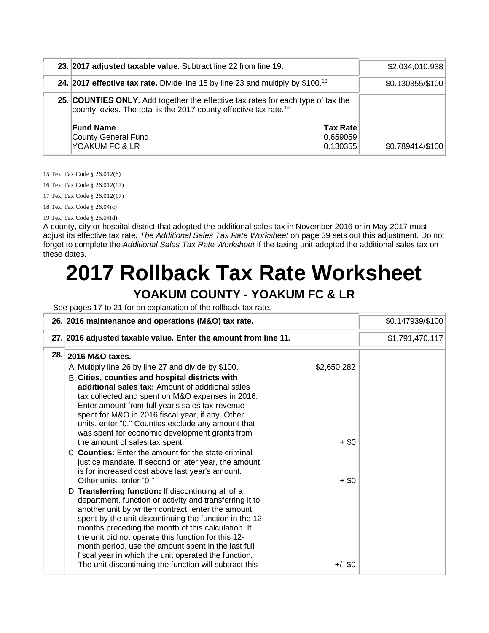| 23. 2017 adjusted taxable value. Subtract line 22 from line 19.                                                                                                   | \$2,034,010,938  |
|-------------------------------------------------------------------------------------------------------------------------------------------------------------------|------------------|
| 24. 2017 effective tax rate. Divide line 15 by line 23 and multiply by $$100.18$                                                                                  | \$0.130355/\$100 |
| 25. COUNTIES ONLY. Add together the effective tax rates for each type of tax the<br>county levies. The total is the 2017 county effective tax rate. <sup>19</sup> |                  |
| <b>Fund Name</b><br><b>Tax Rate</b><br>County General Fund<br>0.659059<br>YOAKUM FC & LR<br>0.130355                                                              | \$0.789414/\$100 |

15 Tex. Tax Code § 26.012(6)

16 Tex. Tax Code § 26.012(17)

17 Tex. Tax Code § 26.012(17)

18 Tex. Tax Code § 26.04(c)

19 Tex. Tax Code § 26.04(d)

A county, city or hospital district that adopted the additional sales tax in November 2016 or in May 2017 must adjust its effective tax rate. *The Additional Sales Tax Rate Worksheet* on page 39 sets out this adjustment. Do not forget to complete the *Additional Sales Tax Rate Worksheet* if the taxing unit adopted the additional sales tax on these dates.

## **2017 Rollback Tax Rate Worksheet YOAKUM COUNTY - YOAKUM FC & LR**

See pages 17 to 21 for an explanation of the rollback tax rate.

|      | 26. 2016 maintenance and operations (M&O) tax rate.                                                                                                                                                                                                                                                                                                                                                                                                                                                                                             |                      | \$0.147939/\$100 |
|------|-------------------------------------------------------------------------------------------------------------------------------------------------------------------------------------------------------------------------------------------------------------------------------------------------------------------------------------------------------------------------------------------------------------------------------------------------------------------------------------------------------------------------------------------------|----------------------|------------------|
|      | 27. 2016 adjusted taxable value. Enter the amount from line 11.                                                                                                                                                                                                                                                                                                                                                                                                                                                                                 |                      | \$1,791,470,117  |
| 28.1 | 2016 M&O taxes.                                                                                                                                                                                                                                                                                                                                                                                                                                                                                                                                 | \$2,650,282          |                  |
|      | A. Multiply line 26 by line 27 and divide by \$100.<br>B. Cities, counties and hospital districts with<br>additional sales tax: Amount of additional sales<br>tax collected and spent on M&O expenses in 2016.<br>Enter amount from full year's sales tax revenue<br>spent for M&O in 2016 fiscal year, if any. Other<br>units, enter "0." Counties exclude any amount that<br>was spent for economic development grants from                                                                                                                   |                      |                  |
|      | the amount of sales tax spent.<br>C. Counties: Enter the amount for the state criminal<br>justice mandate. If second or later year, the amount<br>is for increased cost above last year's amount.                                                                                                                                                                                                                                                                                                                                               | $+$ \$0              |                  |
|      | Other units, enter "0."<br>D. Transferring function: If discontinuing all of a<br>department, function or activity and transferring it to<br>another unit by written contract, enter the amount<br>spent by the unit discontinuing the function in the 12<br>months preceding the month of this calculation. If<br>the unit did not operate this function for this 12-<br>month period, use the amount spent in the last full<br>fiscal year in which the unit operated the function.<br>The unit discontinuing the function will subtract this | $+$ \$0<br>$+/-$ \$0 |                  |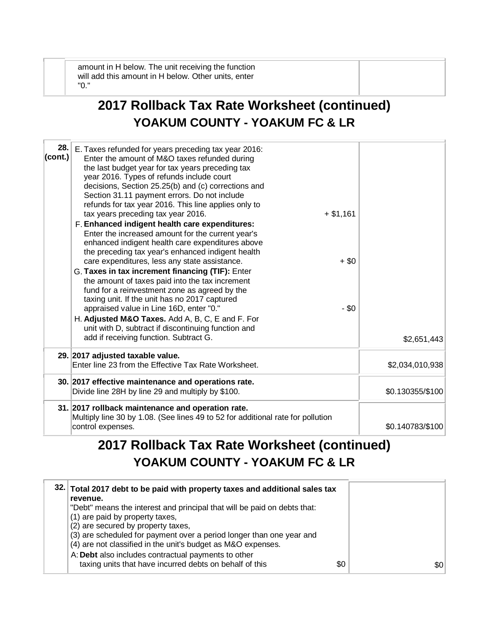amount in H below. The unit receiving the function will add this amount in H below. Other units, enter "0."

## **2017 Rollback Tax Rate Worksheet (continued) YOAKUM COUNTY - YOAKUM FC & LR**

| 28.<br>(cont.) | E. Taxes refunded for years preceding tax year 2016:<br>Enter the amount of M&O taxes refunded during<br>the last budget year for tax years preceding tax<br>year 2016. Types of refunds include court<br>decisions, Section 25.25(b) and (c) corrections and<br>Section 31.11 payment errors. Do not include<br>refunds for tax year 2016. This line applies only to<br>tax years preceding tax year 2016.<br>F. Enhanced indigent health care expenditures:<br>Enter the increased amount for the current year's<br>enhanced indigent health care expenditures above<br>the preceding tax year's enhanced indigent health<br>care expenditures, less any state assistance.<br>G. Taxes in tax increment financing (TIF): Enter<br>the amount of taxes paid into the tax increment<br>fund for a reinvestment zone as agreed by the<br>taxing unit. If the unit has no 2017 captured<br>appraised value in Line 16D, enter "0." | $+ $1,161$<br>$+$ \$0<br>$-$ \$0 |                  |
|----------------|----------------------------------------------------------------------------------------------------------------------------------------------------------------------------------------------------------------------------------------------------------------------------------------------------------------------------------------------------------------------------------------------------------------------------------------------------------------------------------------------------------------------------------------------------------------------------------------------------------------------------------------------------------------------------------------------------------------------------------------------------------------------------------------------------------------------------------------------------------------------------------------------------------------------------------|----------------------------------|------------------|
|                | H. Adjusted M&O Taxes. Add A, B, C, E and F. For<br>unit with D, subtract if discontinuing function and<br>add if receiving function. Subtract G.                                                                                                                                                                                                                                                                                                                                                                                                                                                                                                                                                                                                                                                                                                                                                                                |                                  | \$2,651,443      |
|                | 29. 2017 adjusted taxable value.<br>Enter line 23 from the Effective Tax Rate Worksheet.                                                                                                                                                                                                                                                                                                                                                                                                                                                                                                                                                                                                                                                                                                                                                                                                                                         |                                  | \$2,034,010,938  |
|                | 30. 2017 effective maintenance and operations rate.<br>Divide line 28H by line 29 and multiply by \$100.                                                                                                                                                                                                                                                                                                                                                                                                                                                                                                                                                                                                                                                                                                                                                                                                                         |                                  | \$0.130355/\$100 |
|                | 31. 2017 rollback maintenance and operation rate.<br>Multiply line 30 by 1.08. (See lines 49 to 52 for additional rate for pollution<br>control expenses.                                                                                                                                                                                                                                                                                                                                                                                                                                                                                                                                                                                                                                                                                                                                                                        |                                  | \$0.140783/\$100 |

### **2017 Rollback Tax Rate Worksheet (continued) YOAKUM COUNTY - YOAKUM FC & LR**

| 32. Total 2017 debt to be paid with property taxes and additional sales tax |     |
|-----------------------------------------------------------------------------|-----|
| revenue.                                                                    |     |
| "Debt" means the interest and principal that will be paid on debts that:    |     |
| (1) are paid by property taxes,                                             |     |
| (2) are secured by property taxes,                                          |     |
| (3) are scheduled for payment over a period longer than one year and        |     |
| (4) are not classified in the unit's budget as M&O expenses.                |     |
| A: Debt also includes contractual payments to other                         |     |
| taxing units that have incurred debts on behalf of this<br>\$0              | \$0 |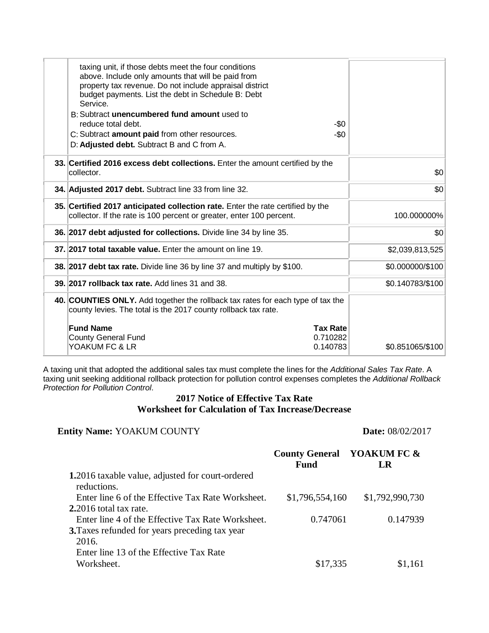| taxing unit, if those debts meet the four conditions<br>above. Include only amounts that will be paid from<br>property tax revenue. Do not include appraisal district<br>budget payments. List the debt in Schedule B: Debt<br>Service.<br>B: Subtract unencumbered fund amount used to<br>reduce total debt.<br>-\$0 |                  |
|-----------------------------------------------------------------------------------------------------------------------------------------------------------------------------------------------------------------------------------------------------------------------------------------------------------------------|------------------|
| C: Subtract amount paid from other resources.<br>$-\$0$                                                                                                                                                                                                                                                               |                  |
| D: Adjusted debt. Subtract B and C from A.                                                                                                                                                                                                                                                                            |                  |
| 33. Certified 2016 excess debt collections. Enter the amount certified by the<br>collector.                                                                                                                                                                                                                           | \$0              |
| 34. Adjusted 2017 debt. Subtract line 33 from line 32.                                                                                                                                                                                                                                                                | \$0              |
| 35. Certified 2017 anticipated collection rate. Enter the rate certified by the<br>collector. If the rate is 100 percent or greater, enter 100 percent.                                                                                                                                                               | 100.000000%      |
| 36. 2017 debt adjusted for collections. Divide line 34 by line 35.                                                                                                                                                                                                                                                    | \$0              |
| 37. 2017 total taxable value. Enter the amount on line 19.                                                                                                                                                                                                                                                            | \$2,039,813,525  |
| 38. 2017 debt tax rate. Divide line 36 by line 37 and multiply by \$100.                                                                                                                                                                                                                                              | \$0.000000/\$100 |
| 39. 2017 rollback tax rate. Add lines 31 and 38.                                                                                                                                                                                                                                                                      | \$0.140783/\$100 |
| 40. COUNTIES ONLY. Add together the rollback tax rates for each type of tax the<br>county levies. The total is the 2017 county rollback tax rate.                                                                                                                                                                     |                  |
| <b>Fund Name</b><br><b>Tax Rate</b>                                                                                                                                                                                                                                                                                   |                  |
| <b>County General Fund</b><br>0.710282                                                                                                                                                                                                                                                                                |                  |
| YOAKUM FC & LR<br>0.140783                                                                                                                                                                                                                                                                                            | \$0.851065/\$100 |
|                                                                                                                                                                                                                                                                                                                       |                  |

A taxing unit that adopted the additional sales tax must complete the lines for the *Additional Sales Tax Rate*. A taxing unit seeking additional rollback protection for pollution control expenses completes the *Additional Rollback Protection for Pollution Control*.

#### **2017 Notice of Effective Tax Rate Worksheet for Calculation of Tax Increase/Decrease**

#### **Entity Name:** YOAKUM COUNTY **Date:** 08/02/2017

|                                                                        | <b>County General YOAKUM FC &amp;</b><br><b>Fund</b> | LR              |
|------------------------------------------------------------------------|------------------------------------------------------|-----------------|
| <b>1.2016</b> taxable value, adjusted for court-ordered<br>reductions. |                                                      |                 |
| Enter line 6 of the Effective Tax Rate Worksheet.                      | \$1,796,554,160                                      | \$1,792,990,730 |
| $2.2016$ total tax rate.                                               |                                                      |                 |
| Enter line 4 of the Effective Tax Rate Worksheet.                      | 0.747061                                             | 0.147939        |
| 3. Taxes refunded for years preceding tax year                         |                                                      |                 |
| 2016.                                                                  |                                                      |                 |
| Enter line 13 of the Effective Tax Rate                                |                                                      |                 |
| Worksheet.                                                             | \$17,335                                             | \$1,161         |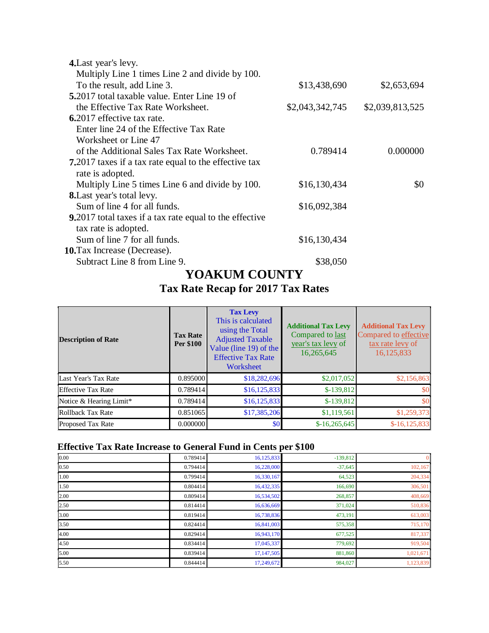| 4. Last year's levy.                                            |                 |                 |
|-----------------------------------------------------------------|-----------------|-----------------|
| Multiply Line 1 times Line 2 and divide by 100.                 |                 |                 |
| To the result, add Line 3.                                      | \$13,438,690    | \$2,653,694     |
| <b>5.</b> 2017 total taxable value. Enter Line 19 of            |                 |                 |
| the Effective Tax Rate Worksheet.                               | \$2,043,342,745 | \$2,039,813,525 |
| <b>6.2017</b> effective tax rate.                               |                 |                 |
| Enter line 24 of the Effective Tax Rate                         |                 |                 |
| Worksheet or Line 47                                            |                 |                 |
| of the Additional Sales Tax Rate Worksheet.                     | 0.789414        | 0.000000        |
| <b>7.</b> 2017 taxes if a tax rate equal to the effective tax   |                 |                 |
| rate is adopted.                                                |                 |                 |
| Multiply Line 5 times Line 6 and divide by 100.                 | \$16,130,434    | \$0             |
| <b>8.</b> Last year's total levy.                               |                 |                 |
| Sum of line 4 for all funds.                                    | \$16,092,384    |                 |
| <b>9.</b> 2017 total taxes if a tax rate equal to the effective |                 |                 |
| tax rate is adopted.                                            |                 |                 |
| Sum of line 7 for all funds.                                    | \$16,130,434    |                 |
| <b>10.</b> Tax Increase (Decrease).                             |                 |                 |
| Subtract Line 8 from Line 9.                                    | \$38,050        |                 |

#### **YOAKUM COUNTY Tax Rate Recap for 2017 Tax Rates**

| <b>Description of Rate</b> | <b>Tax Rate</b><br>Per \$100 | <b>Tax Levy</b><br>This is calculated<br>using the Total<br><b>Adjusted Taxable</b><br>Value (line 19) of the<br><b>Effective Tax Rate</b><br>Worksheet | <b>Additional Tax Levy</b><br>Compared to last<br>year's tax levy of<br>16,265,645 | <b>Additional Tax Levy</b><br>Compared to effective<br>tax rate levy of<br>16,125,833 |
|----------------------------|------------------------------|---------------------------------------------------------------------------------------------------------------------------------------------------------|------------------------------------------------------------------------------------|---------------------------------------------------------------------------------------|
| Last Year's Tax Rate       | 0.895000                     | \$18,282,696                                                                                                                                            | \$2,017,052                                                                        | \$2,156,863                                                                           |
| <b>Effective Tax Rate</b>  | 0.789414                     | \$16, 125, 833                                                                                                                                          | $$-139,812$                                                                        | \$0                                                                                   |
| Notice & Hearing Limit*    | 0.789414                     | \$16, 125, 833                                                                                                                                          | $$-139,812$                                                                        | \$0                                                                                   |
| Rollback Tax Rate          | 0.851065                     | \$17,385,206                                                                                                                                            | \$1,119,561                                                                        | \$1,259,373                                                                           |
| <b>Proposed Tax Rate</b>   | 0.000000                     | \$0                                                                                                                                                     | $$-16,265,645$                                                                     | $$-16, 125, 833$                                                                      |

#### **Effective Tax Rate Increase to General Fund in Cents per \$100**

| 0.00 | 0.789414 | 16,125,833 | $-139,812$ |           |
|------|----------|------------|------------|-----------|
| 0.50 | 0.794414 | 16,228,000 | $-37,645$  | 102, 167  |
| 1.00 | 0.799414 | 16,330,167 | 64,523     | 204,334   |
| 1.50 | 0.804414 | 16,432,335 | 166,690    | 306,501   |
| 2.00 | 0.809414 | 16,534,502 | 268,857    | 408,669   |
| 2.50 | 0.814414 | 16,636,669 | 371,024    | 510,836   |
| 3.00 | 0.819414 | 16,738,836 | 473,191    | 613,003   |
| 3.50 | 0.824414 | 16,841,003 | 575,358    | 715,170   |
| 4.00 | 0.829414 | 16,943,170 | 677,525    | 817,337   |
| 4.50 | 0.834414 | 17,045,337 | 779,692    | 919,504   |
| 5.00 | 0.839414 | 17,147,505 | 881,860    | 1,021,671 |
| 5.50 | 0.844414 | 17,249,672 | 984,027    | 1,123,839 |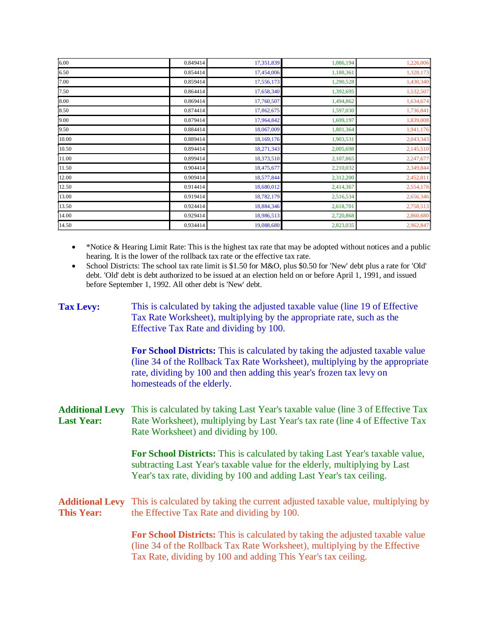| 6.00  | 0.849414 | 17,351,839 | 1,086,194 | 1,226,006 |
|-------|----------|------------|-----------|-----------|
| 6.50  | 0.854414 | 17,454,006 | 1,188,361 | 1,328,173 |
| 7.00  | 0.859414 | 17,556,173 | 1,290,528 | 1,430,340 |
| 7.50  | 0.864414 | 17,658,340 | 1,392,695 | 1,532,507 |
| 8.00  | 0.869414 | 17,760,507 | 1,494,862 | 1,634,674 |
| 8.50  | 0.874414 | 17,862,675 | 1,597,030 | 1,736,841 |
| 9.00  | 0.879414 | 17,964,842 | 1,699,197 | 1,839,008 |
| 9.50  | 0.884414 | 18,067,009 | 1,801,364 | 1,941,176 |
| 10.00 | 0.889414 | 18,169,176 | 1,903,531 | 2,043,343 |
| 10.50 | 0.894414 | 18,271,343 | 2,005,698 | 2,145,510 |
| 11.00 | 0.899414 | 18,373,510 | 2,107,865 | 2,247,677 |
| 11.50 | 0.904414 | 18,475,677 | 2,210,032 | 2,349,844 |
| 12.00 | 0.909414 | 18,577,844 | 2,312,200 | 2,452,011 |
| 12.50 | 0.914414 | 18,680,012 | 2,414,367 | 2,554,178 |
| 13.00 | 0.919414 | 18,782,179 | 2,516,534 | 2,656,346 |
| 13.50 | 0.924414 | 18,884,346 | 2,618,701 | 2,758,513 |
| 14.00 | 0.929414 | 18,986,513 | 2,720,868 | 2,860,680 |
| 14.50 | 0.934414 | 19,088,680 | 2,823,035 | 2,962,847 |

- \*Notice & Hearing Limit Rate: This is the highest tax rate that may be adopted without notices and a public hearing. It is the lower of the rollback tax rate or the effective tax rate.
- School Districts: The school tax rate limit is \$1.50 for M&O, plus \$0.50 for 'New' debt plus a rate for 'Old' debt. 'Old' debt is debt authorized to be issued at an election held on or before April 1, 1991, and issued before September 1, 1992. All other debt is 'New' debt.

| <b>Tax Levy:</b>                            | This is calculated by taking the adjusted taxable value (line 19 of Effective<br>Tax Rate Worksheet), multiplying by the appropriate rate, such as the<br>Effective Tax Rate and dividing by 100.                                                                   |
|---------------------------------------------|---------------------------------------------------------------------------------------------------------------------------------------------------------------------------------------------------------------------------------------------------------------------|
|                                             | For School Districts: This is calculated by taking the adjusted taxable value<br>(line 34 of the Rollback Tax Rate Worksheet), multiplying by the appropriate<br>rate, dividing by 100 and then adding this year's frozen tax levy on<br>homesteads of the elderly. |
| <b>Additional Levy</b><br><b>Last Year:</b> | This is calculated by taking Last Year's taxable value (line 3 of Effective Tax<br>Rate Worksheet), multiplying by Last Year's tax rate (line 4 of Effective Tax<br>Rate Worksheet) and dividing by 100.                                                            |
|                                             | For School Districts: This is calculated by taking Last Year's taxable value,<br>subtracting Last Year's taxable value for the elderly, multiplying by Last<br>Year's tax rate, dividing by 100 and adding Last Year's tax ceiling.                                 |
| <b>Additional Levy</b><br><b>This Year:</b> | This is calculated by taking the current adjusted taxable value, multiplying by<br>the Effective Tax Rate and dividing by 100.                                                                                                                                      |
|                                             | For School Districts: This is calculated by taking the adjusted taxable value<br>(line 34 of the Rollback Tax Rate Worksheet), multiplying by the Effective<br>Tax Rate, dividing by 100 and adding This Year's tax ceiling.                                        |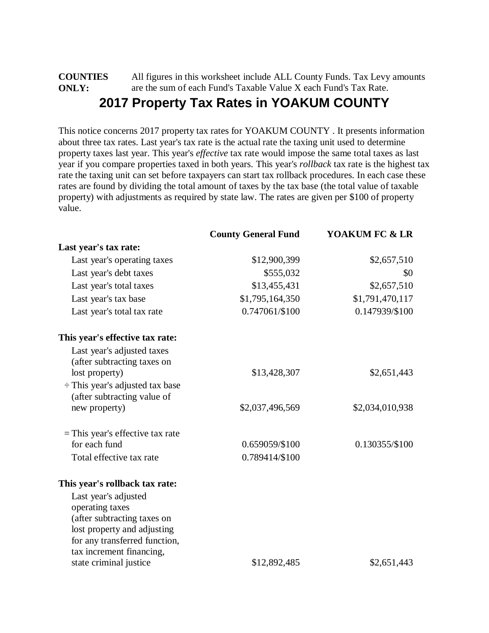#### **COUNTIES ONLY:** All figures in this worksheet include ALL County Funds. Tax Levy amounts are the sum of each Fund's Taxable Value X each Fund's Tax Rate. **2017 Property Tax Rates in YOAKUM COUNTY**

This notice concerns 2017 property tax rates for YOAKUM COUNTY . It presents information about three tax rates. Last year's tax rate is the actual rate the taxing unit used to determine property taxes last year. This year's *effective* tax rate would impose the same total taxes as last year if you compare properties taxed in both years. This year's *rollback* tax rate is the highest tax rate the taxing unit can set before taxpayers can start tax rollback procedures. In each case these rates are found by dividing the total amount of taxes by the tax base (the total value of taxable property) with adjustments as required by state law. The rates are given per \$100 of property value.

|                                                                     | <b>County General Fund</b> | YOAKUM FC & LR  |
|---------------------------------------------------------------------|----------------------------|-----------------|
| Last year's tax rate:                                               |                            |                 |
| Last year's operating taxes                                         | \$12,900,399               | \$2,657,510     |
| Last year's debt taxes                                              | \$555,032                  | \$0             |
| Last year's total taxes                                             | \$13,455,431               | \$2,657,510     |
| Last year's tax base                                                | \$1,795,164,350            | \$1,791,470,117 |
| Last year's total tax rate                                          | 0.747061/\$100             | 0.147939/\$100  |
| This year's effective tax rate:                                     |                            |                 |
| Last year's adjusted taxes<br>(after subtracting taxes on           |                            |                 |
| lost property)                                                      | \$13,428,307               | \$2,651,443     |
| $\div$ This year's adjusted tax base<br>(after subtracting value of |                            |                 |
| new property)                                                       | \$2,037,496,569            | \$2,034,010,938 |
| $=$ This year's effective tax rate                                  |                            |                 |
| for each fund                                                       | 0.659059/\$100             | 0.130355/\$100  |
| Total effective tax rate                                            | 0.789414/\$100             |                 |
| This year's rollback tax rate:                                      |                            |                 |
| Last year's adjusted                                                |                            |                 |
| operating taxes                                                     |                            |                 |
| (after subtracting taxes on<br>lost property and adjusting          |                            |                 |
| for any transferred function,                                       |                            |                 |
| tax increment financing,                                            |                            |                 |
| state criminal justice                                              | \$12,892,485               | \$2,651,443     |